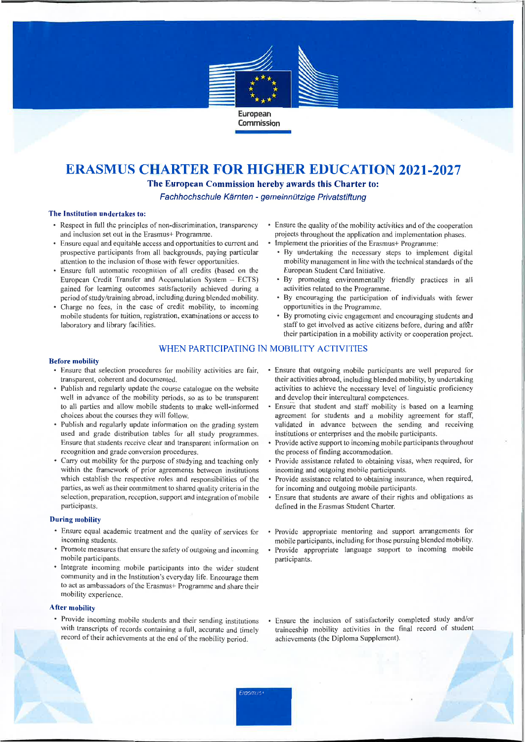

# ERASMUS CHARTER FOR HIGHER EDUCATION 2021.2027

The European Commission hereby awards this Charter to:

Fachhochschule Kärnten - gemeinnützige Privatstiftung

### The Institution undertakes to:

- . Respect in full the principles of non-discrimination, transparency and inclusion set out in the Erasmus+ Programme.
- . Ensure equal and equitable access and opportunities to current and prospective participants from all backgrounds, paying particular attention to the inclusion of those with fewer opportunities.
- . Ensure full automatic lecognition of all credits (based on the European Credit Transfer and Accumulation System - ECTS) gained for leaming outcomes satisfactorily achieved during <sup>a</sup> period of study/training abroad, including during blended mobility.
- . Charge no fees, in the case of credit mobility, to incoming mobile students for tuition, registration, examinations or access to laboratory and library facilities.
- . Ensure the quality of the mobility activities and of the cooperation projects throughout the application and implementation phases.
- Implement the priorities of the Erasmus+ Programme:
- . By undertaking the necessary steps to implement digital mobility management in line with the technical standards of the European Student Card Initiative.
- . By promoting environmentally friendly practices in all activities related to the Programme.
- . By encouraging the participation of individuals with fewer opportunities in the Programme.
- . By promoting civic engagement and encouraging students and staff to get involved as active citizens before, during and after their participation in a mobility activity or cooperation project.

## WHEN PARTICIPATING IN MOBILITY ACTIVITIES

#### Before mobility

- . Ensure that selection procedures for mobility activities are fair, transparent, coherent and documented.
- . Publish and regularly update the course catalogue on the website well in advance of the mobility periods, so as to be transparent to all parties and allow mobile students to make well-informed choices about the courses they will follow
- . Publish and regularly update information on the grading system used and grade distribution tables for all study programmes. Ensure that students receive clear and transparent infomation on recognition and grade conversion procedures.
- . Carry out mobility for the purpose of studying and teaching only within the framework of prior agreements between institutions which establish the respective roles and responsibilities of the parties, as well as their commitment to shared quality criteria in the selection, preparation, reception, support and integration of mobile participants.

### During mobility

- ' Ensure equal academic treatment and the quality of services for incoming students.
- Promote measures that ensure the safety of outgoing and incoming mobile participants.
- Integrate incoming mobile participants into the wider student community and in the Institution's everyday life. Encourage them to act as ambassadors of the Erasmus+ Programme and share their mobility experience.

#### After mobility

' Provide incoming mobile students and their sending institutions with transcripts of records containing a full, accurate and timely record of their achievements at the end of the mobitity period.

- . Ensure that outgoing rnobile participants are well prepared for their activities abroad, including blended mobility, by undertaking activities to achieve the necessary level of linguistic proficiency and develop their intercultural competences.
- Ensure that student and staff mobility is based on a learning agreement for students and a mobility agreement for staff, validated in advance between the sending and receiving institutions or enterprises and the mobile participants.
- . Provide active support to incoming mobile participants throughout the process of finding accommodation.
- . Provide assistance related to obtaining visas, when required, for incoming and outgoing mobile participants.
- . Provide assistance related to obtaining insurance, when required. for incoming and outgoing mobile participants.
- . Ensure that students are aware of their rights and obligations as defined in the Erasmus Student Charter.
- Provide appropriate mentoring and support arrangements for mobile participants, including for those pursuing blended mobility'
- . Provide appropriate language support to incoming mobile participants.
- . Ensure the inclusion of satisfactorily completed study and/or traineeship mobility activities in the final record of student achievements (the Diploma Supplement).

**Erosmus**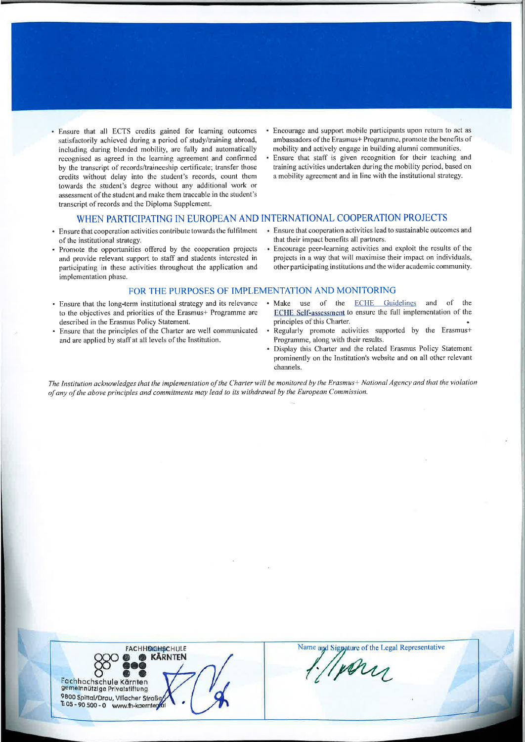- . Ensure that all ECTS credits gained for leaming outcomes satisfactorily achieved during a period of study/training abroad, including during blended mobility, are fully and automatically recognised as agreed in the leaming agreement and confirmed by the transcript of records/traineeship certificate; transfer those credits without delay into the student's records, count them towards the student's degree without any additional work or assessment of the student and make them traceable in the student's transcript of records and the Diploma Supplement.
- Encourage and support mobile participants upon return to act as ambassadors of the Erasmus+ Programme, promote the benefits of mobility and actively engage in building alumni communities.
- . Ensure that staff is given recognition for their teaching and training activities undertaken during the mobitity period, based on a mobility agreement and in line with the institutional strategy.

## WHEN PARTICIPATING IN EUROPEAN AND INTERNATIONAL COOPERATION PROJECTS

- . Ensure that cooperation activities contribute towards the fuIfilment of the institutional strategy.
- . Promote the opportunities offered by the cooperation projects and provide relevant support to staff and students interested in participating in these activities throughout the application and implementation phase.
- Ensure that cooperation activities lead to sustainable outcomes and that their impact benefits all partners.
- Encourage peer-learning activities and exploit the results of the projects in a way that will maximise their impact on individuals. other participating institutions and the wider academic community.

#### FOR THE PURPOSES OF IMPLEMENTATION AND MONITORING

- . Ensure that the long-term institutional strategy and its relevance to the objectives and priorities of the Erasmus+ Programme are described in the Erasmus Policy Statement.
- . Ensure that the principles of the Charter are well communicated and are applied by staff at all levels of the Institution.
- . Make use of the ECHE Guidelines and of the ECHE Self-assessment to ensure the full implementation of the principles of this Charter.
- Regularly promote activities supported by the Erasmus+ Programme, along with their results.
- . Display this Charter and the related Erastnus Policy Statement prominently on the Institution's website and on all other relevant channels.

The Institution acknowledges that the implementation of the Charter will be monitored by the Erasmus\* National Agency and that the violation of any of the above principles and commilments may lead to its withdrawal by the European Commission.



ature of the Legal Representative your

\*s